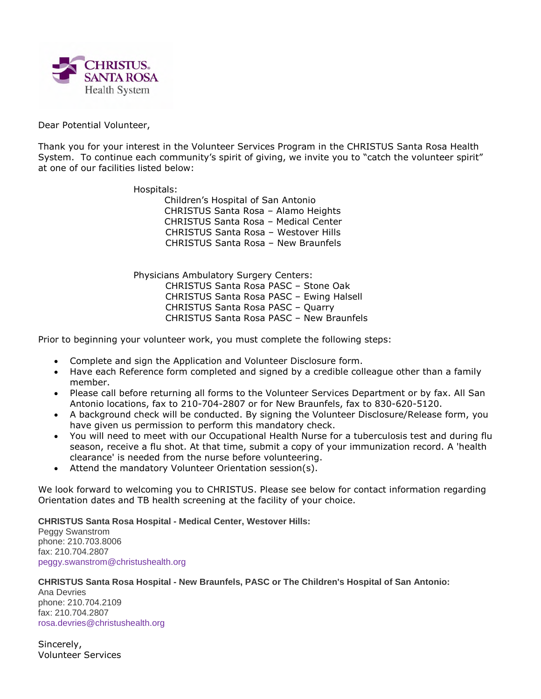

## Dear Potential Volunteer,

Thank you for your interest in the Volunteer Services Program in the CHRISTUS Santa Rosa Health System. To continue each community's spirit of giving, we invite you to "catch the volunteer spirit" at one of our facilities listed below:

Hospitals:

Children's Hospital of San Antonio CHRISTUS Santa Rosa – Alamo Heights CHRISTUS Santa Rosa – Medical Center CHRISTUS Santa Rosa – Westover Hills CHRISTUS Santa Rosa – New Braunfels

Physicians Ambulatory Surgery Centers: CHRISTUS Santa Rosa PASC – Stone Oak CHRISTUS Santa Rosa PASC – Ewing Halsell CHRISTUS Santa Rosa PASC – Quarry CHRISTUS Santa Rosa PASC – New Braunfels

Prior to beginning your volunteer work, you must complete the following steps:

- Complete and sign the Application and Volunteer Disclosure form.
- Have each Reference form completed and signed by a credible colleague other than a family member.
- Please call before returning all forms to the Volunteer Services Department or by fax. All San Antonio locations, fax to 210-704-2807 or for New Braunfels, fax to 830-620-5120.
- A background check will be conducted. By signing the Volunteer Disclosure/Release form, you have given us permission to perform this mandatory check.
- You will need to meet with our Occupational Health Nurse for a tuberculosis test and during flu season, receive a flu shot. At that time, submit a copy of your immunization record. A 'health clearance' is needed from the nurse before volunteering.
- Attend the mandatory Volunteer Orientation session(s).

We look forward to welcoming you to CHRISTUS. Please see below for contact information regarding Orientation dates and TB health screening at the facility of your choice.

**CHRISTUS Santa Rosa Hospital - Medical Center, Westover Hills:**

Peggy Swanstrom phone: 210.703.8006 fax: 210.704.2807 peggy.swanstrom@christushealth.org

### **CHRISTUS Santa Rosa Hospital - New Braunfels, PASC or The Children's Hospital of San Antonio:**

Ana Devries phone: 210.704.2109 fax: 210.704.2807 rosa.devries@christushealth.org

Sincerely, Volunteer Services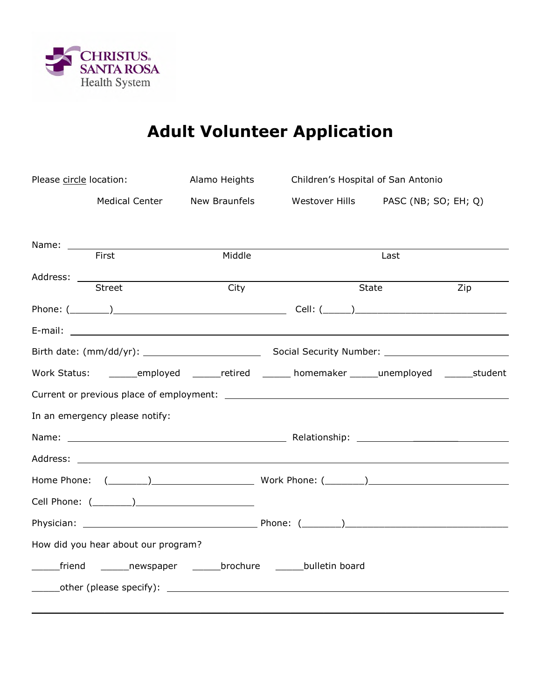

# **Adult Volunteer Application**

| Please circle location:                                               |                                     | Alamo Heights        |  | Children's Hospital of San Antonio                                         |
|-----------------------------------------------------------------------|-------------------------------------|----------------------|--|----------------------------------------------------------------------------|
|                                                                       | <b>Medical Center</b>               | <b>New Braunfels</b> |  | Westover Hills PASC (NB; SO; EH; Q)                                        |
|                                                                       |                                     |                      |  |                                                                            |
|                                                                       |                                     |                      |  |                                                                            |
|                                                                       | First                               | Middle               |  | Last                                                                       |
|                                                                       | <b>Street</b>                       | City                 |  | Zip<br>State                                                               |
|                                                                       |                                     |                      |  |                                                                            |
|                                                                       |                                     |                      |  |                                                                            |
|                                                                       |                                     |                      |  |                                                                            |
| Work Status:                                                          |                                     |                      |  | employed _______retired _______ homemaker ______ unemployed _______student |
|                                                                       |                                     |                      |  |                                                                            |
|                                                                       | In an emergency please notify:      |                      |  |                                                                            |
|                                                                       |                                     |                      |  |                                                                            |
|                                                                       |                                     |                      |  |                                                                            |
|                                                                       |                                     |                      |  | Home Phone: ( ) Work Phone: ( )                                            |
|                                                                       |                                     |                      |  |                                                                            |
|                                                                       |                                     |                      |  |                                                                            |
|                                                                       | How did you hear about our program? |                      |  |                                                                            |
| _____friend ________newspaper ________brochure ________bulletin board |                                     |                      |  |                                                                            |
|                                                                       |                                     |                      |  |                                                                            |
|                                                                       |                                     |                      |  |                                                                            |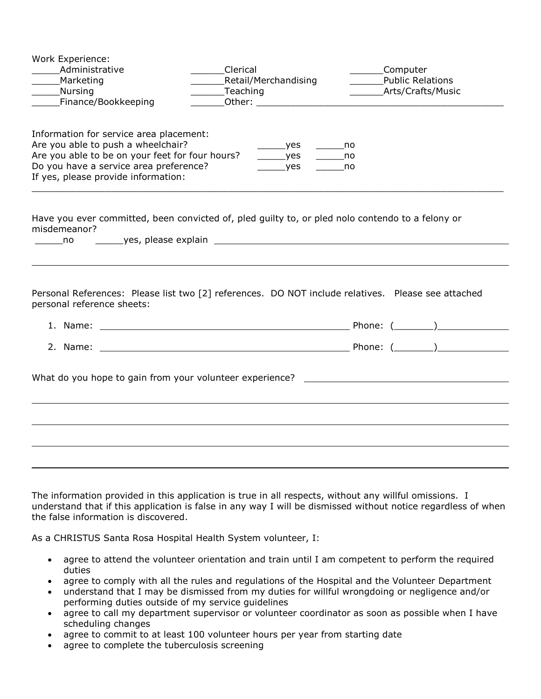| Work Experience:<br>Administrative<br>Marketing<br>Nursing<br>Finance/Bookkeeping                                                                                                                                 | Clerical<br>Retail/Merchandising<br>Teaching<br>Other: University of the Commission of the Commission of the Commission of the Commission of the Commission of | Computer<br><b>Public Relations</b><br>Arts/Crafts/Music |  |  |  |
|-------------------------------------------------------------------------------------------------------------------------------------------------------------------------------------------------------------------|----------------------------------------------------------------------------------------------------------------------------------------------------------------|----------------------------------------------------------|--|--|--|
| Information for service area placement:<br>Are you able to push a wheelchair?<br>Are you able to be on your feet for four hours?<br>Do you have a service area preference?<br>If yes, please provide information: | $\rule{1em}{0.15mm}$ yes<br>$\rule{1em}{0.15mm}$ yes<br>$\rule{1em}{0.15mm}$ yes                                                                               | $\rule{1em}{0.15mm}$ no<br><b>no</b><br><u>nomin</u>     |  |  |  |
| Have you ever committed, been convicted of, pled guilty to, or pled nolo contendo to a felony or<br>misdemeanor?<br>no no                                                                                         |                                                                                                                                                                |                                                          |  |  |  |
| Personal References: Please list two [2] references. DO NOT include relatives. Please see attached<br>personal reference sheets:                                                                                  |                                                                                                                                                                |                                                          |  |  |  |
|                                                                                                                                                                                                                   |                                                                                                                                                                |                                                          |  |  |  |
|                                                                                                                                                                                                                   |                                                                                                                                                                |                                                          |  |  |  |
| What do you hope to gain from your volunteer experience? ________________________                                                                                                                                 |                                                                                                                                                                |                                                          |  |  |  |
|                                                                                                                                                                                                                   |                                                                                                                                                                |                                                          |  |  |  |
|                                                                                                                                                                                                                   |                                                                                                                                                                |                                                          |  |  |  |
|                                                                                                                                                                                                                   |                                                                                                                                                                |                                                          |  |  |  |

The information provided in this application is true in all respects, without any willful omissions. I understand that if this application is false in any way I will be dismissed without notice regardless of when the false information is discovered.

As a CHRISTUS Santa Rosa Hospital Health System volunteer, I:

- agree to attend the volunteer orientation and train until I am competent to perform the required duties
- agree to comply with all the rules and regulations of the Hospital and the Volunteer Department
- understand that I may be dismissed from my duties for willful wrongdoing or negligence and/or performing duties outside of my service guidelines
- agree to call my department supervisor or volunteer coordinator as soon as possible when I have scheduling changes
- agree to commit to at least 100 volunteer hours per year from starting date
- agree to complete the tuberculosis screening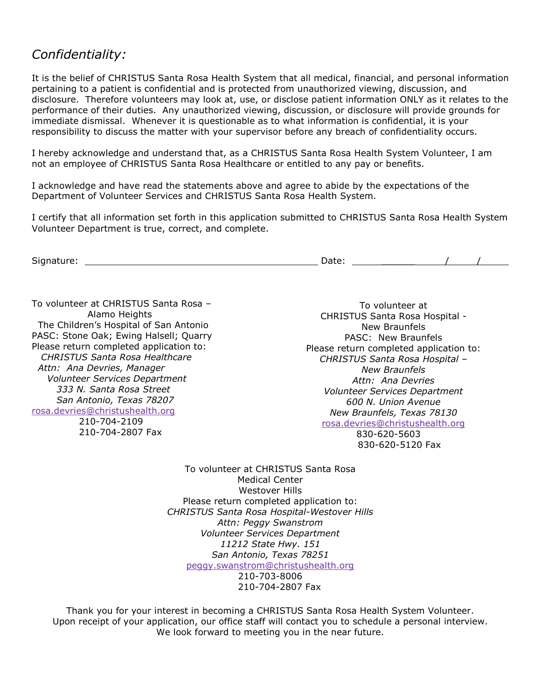# *Confidentiality:*

It is the belief of CHRISTUS Santa Rosa Health System that all medical, financial, and personal information pertaining to a patient is confidential and is protected from unauthorized viewing, discussion, and disclosure. Therefore volunteers may look at, use, or disclose patient information ONLY as it relates to the performance of their duties. Any unauthorized viewing, discussion, or disclosure will provide grounds for immediate dismissal. Whenever it is questionable as to what information is confidential, it is your responsibility to discuss the matter with your supervisor before any breach of confidentiality occurs.

I hereby acknowledge and understand that, as a CHRISTUS Santa Rosa Health System Volunteer, I am not an employee of CHRISTUS Santa Rosa Healthcare or entitled to any pay or benefits.

I acknowledge and have read the statements above and agree to abide by the expectations of the Department of Volunteer Services and CHRISTUS Santa Rosa Health System.

I certify that all information set forth in this application submitted to CHRISTUS Santa Rosa Health System Volunteer Department is true, correct, and complete.

| $\sim$<br><b>SI</b> G<br>.<br>טוי<br>۔۔ | $\overline{\phantom{a}}$<br>Duce. |  |  |
|-----------------------------------------|-----------------------------------|--|--|
|                                         |                                   |  |  |

To volunteer at CHRISTUS Santa Rosa – Alamo Heights The Children's Hospital of San Antonio PASC: Stone Oak; Ewing Halsell; Quarry Please return completed application to: *CHRISTUS Santa Rosa Healthcare Attn: Ana Devries, Manager Volunteer Services Department 333 N. Santa Rosa Street San Antonio, Texas 78207* rosa.devries@christushealth.org 210-704-2109

210-704-2807 Fax

To volunteer at CHRISTUS Santa Rosa Hospital - New Braunfels PASC: New Braunfels Please return completed application to: *CHRISTUS Santa Rosa Hospital – New Braunfels Attn: Ana Devries Volunteer Services Department 600 N. Union Avenue New Braunfels, Texas 78130* rosa.devries@christushealth.org 830-620-5603 830-620-5120 Fax

To volunteer at CHRISTUS Santa Rosa Medical Center Westover Hills Please return completed application to: *CHRISTUS Santa Rosa Hospital-Westover Hills Attn: Peggy Swanstrom Volunteer Services Department 11212 State Hwy. 151 San Antonio, Texas 78251* peggy.swanstrom@christushealth.org 210-703-8006 210-704-2807 Fax

Thank you for your interest in becoming a CHRISTUS Santa Rosa Health System Volunteer. Upon receipt of your application, our office staff will contact you to schedule a personal interview. We look forward to meeting you in the near future.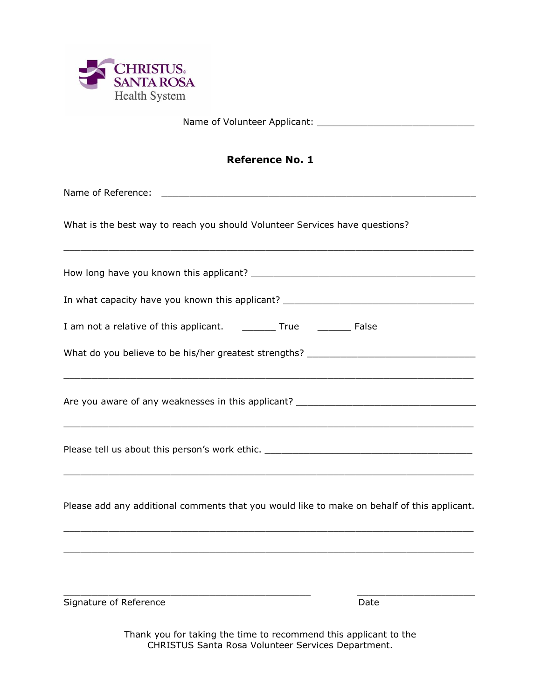

Name of Volunteer Applicant:

## **Reference No. 1**

Name of Reference: \_\_\_\_\_\_\_\_\_\_\_\_\_\_\_\_\_\_\_\_\_\_\_\_\_\_\_\_\_\_\_\_\_\_\_\_\_\_\_\_\_\_\_\_\_\_\_\_\_\_\_\_\_\_\_\_

What is the best way to reach you should Volunteer Services have questions?

How long have you known this applicant? \_\_\_\_\_\_\_\_\_\_\_\_\_\_\_\_\_\_\_\_\_\_\_\_\_\_\_\_\_\_\_\_\_\_\_\_\_\_\_\_

 $\_$  ,  $\_$  ,  $\_$  ,  $\_$  ,  $\_$  ,  $\_$  ,  $\_$  ,  $\_$  ,  $\_$  ,  $\_$  ,  $\_$  ,  $\_$  ,  $\_$  ,  $\_$  ,  $\_$  ,  $\_$  ,  $\_$  ,  $\_$  ,  $\_$  ,  $\_$  ,  $\_$  ,  $\_$  ,  $\_$  ,  $\_$  ,  $\_$  ,  $\_$  ,  $\_$  ,  $\_$  ,  $\_$  ,  $\_$  ,  $\_$  ,  $\_$  ,  $\_$  ,  $\_$  ,  $\_$  ,  $\_$  ,  $\_$  ,

 $\_$  ,  $\_$  ,  $\_$  ,  $\_$  ,  $\_$  ,  $\_$  ,  $\_$  ,  $\_$  ,  $\_$  ,  $\_$  ,  $\_$  ,  $\_$  ,  $\_$  ,  $\_$  ,  $\_$  ,  $\_$  ,  $\_$  ,  $\_$  ,  $\_$  ,  $\_$  ,  $\_$  ,  $\_$  ,  $\_$  ,  $\_$  ,  $\_$  ,  $\_$  ,  $\_$  ,  $\_$  ,  $\_$  ,  $\_$  ,  $\_$  ,  $\_$  ,  $\_$  ,  $\_$  ,  $\_$  ,  $\_$  ,  $\_$  ,

 $\_$  ,  $\_$  ,  $\_$  ,  $\_$  ,  $\_$  ,  $\_$  ,  $\_$  ,  $\_$  ,  $\_$  ,  $\_$  ,  $\_$  ,  $\_$  ,  $\_$  ,  $\_$  ,  $\_$  ,  $\_$  ,  $\_$  ,  $\_$  ,  $\_$  ,  $\_$  ,  $\_$  ,  $\_$  ,  $\_$  ,  $\_$  ,  $\_$  ,  $\_$  ,  $\_$  ,  $\_$  ,  $\_$  ,  $\_$  ,  $\_$  ,  $\_$  ,  $\_$  ,  $\_$  ,  $\_$  ,  $\_$  ,  $\_$  ,

In what capacity have you known this applicant? \_\_\_\_\_\_\_\_\_\_\_\_\_\_\_\_\_\_\_\_\_\_\_\_\_\_\_\_\_\_\_\_\_

| I am not a relative of this applicant. | True | False |
|----------------------------------------|------|-------|
|----------------------------------------|------|-------|

What do you believe to be his/her greatest strengths? \_\_\_\_\_\_\_\_\_\_\_\_\_\_\_\_\_\_\_\_\_\_\_\_\_\_

Are you aware of any weaknesses in this applicant? \_\_\_\_\_\_\_\_\_\_\_\_\_\_\_\_\_\_\_\_\_\_\_\_\_\_\_\_\_

Please tell us about this person's work ethic. \_\_\_\_\_\_\_\_\_\_\_\_\_\_\_\_\_\_\_\_\_\_\_\_\_\_\_\_\_\_\_\_\_\_\_\_\_

Please add any additional comments that you would like to make on behalf of this applicant.

 $\_$  ,  $\_$  ,  $\_$  ,  $\_$  ,  $\_$  ,  $\_$  ,  $\_$  ,  $\_$  ,  $\_$  ,  $\_$  ,  $\_$  ,  $\_$  ,  $\_$  ,  $\_$  ,  $\_$  ,  $\_$  ,  $\_$  ,  $\_$  ,  $\_$  ,  $\_$  ,  $\_$  ,  $\_$  ,  $\_$  ,  $\_$  ,  $\_$  ,  $\_$  ,  $\_$  ,  $\_$  ,  $\_$  ,  $\_$  ,  $\_$  ,  $\_$  ,  $\_$  ,  $\_$  ,  $\_$  ,  $\_$  ,  $\_$  ,

 $\_$  ,  $\_$  ,  $\_$  ,  $\_$  ,  $\_$  ,  $\_$  ,  $\_$  ,  $\_$  ,  $\_$  ,  $\_$  ,  $\_$  ,  $\_$  ,  $\_$  ,  $\_$  ,  $\_$  ,  $\_$  ,  $\_$  ,  $\_$  ,  $\_$  ,  $\_$  ,  $\_$  ,  $\_$  ,  $\_$  ,  $\_$  ,  $\_$  ,  $\_$  ,  $\_$  ,  $\_$  ,  $\_$  ,  $\_$  ,  $\_$  ,  $\_$  ,  $\_$  ,  $\_$  ,  $\_$  ,  $\_$  ,  $\_$  ,

 $\_$  ,  $\_$  ,  $\_$  ,  $\_$  ,  $\_$  ,  $\_$  ,  $\_$  ,  $\_$  ,  $\_$  ,  $\_$  ,  $\_$  ,  $\_$  ,  $\_$  ,  $\_$  ,  $\_$  ,  $\_$  ,  $\_$  ,  $\_$  ,  $\_$ 

 $\_$  ,  $\_$  ,  $\_$  ,  $\_$  ,  $\_$  ,  $\_$  ,  $\_$  ,  $\_$  ,  $\_$  ,  $\_$  ,  $\_$  ,  $\_$  ,  $\_$  ,  $\_$  ,  $\_$  ,  $\_$  ,  $\_$  ,  $\_$  ,  $\_$  ,  $\_$  ,  $\_$  ,  $\_$  ,  $\_$  ,  $\_$  ,  $\_$  ,  $\_$  ,  $\_$  ,  $\_$  ,  $\_$  ,  $\_$  ,  $\_$  ,  $\_$  ,  $\_$  ,  $\_$  ,  $\_$  ,  $\_$  ,  $\_$  ,

Signature of Reference **Date** Date

Thank you for taking the time to recommend this applicant to the CHRISTUS Santa Rosa Volunteer Services Department.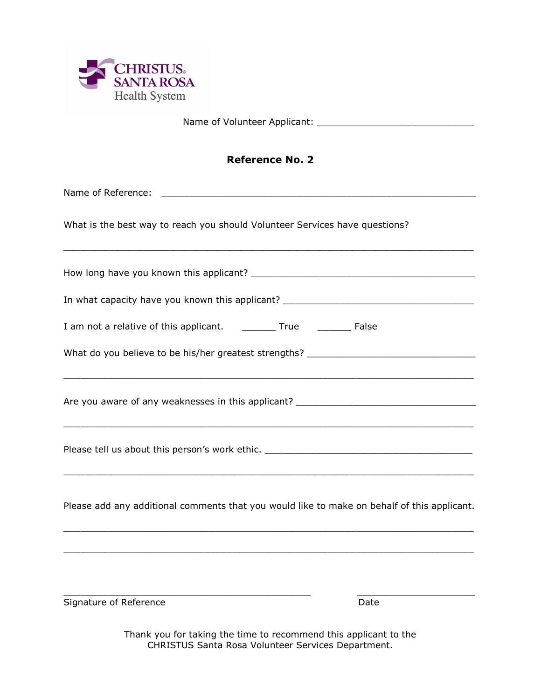

Name of Volunteer Applicant:

## **Reference No. 2**

Name of Reference: \_\_\_\_\_\_\_\_\_\_\_\_\_\_\_\_\_\_\_\_\_\_\_\_\_\_\_\_\_\_\_\_\_\_\_\_\_\_\_\_\_\_\_\_\_\_\_\_\_\_\_\_\_\_\_\_

What is the best way to reach you should Volunteer Services have questions?

How long have you known this applicant? \_\_\_\_\_\_\_\_\_\_\_\_\_\_\_\_\_\_\_\_\_\_\_\_\_\_\_\_\_\_\_\_\_\_\_\_\_\_\_\_

 $\_$  ,  $\_$  ,  $\_$  ,  $\_$  ,  $\_$  ,  $\_$  ,  $\_$  ,  $\_$  ,  $\_$  ,  $\_$  ,  $\_$  ,  $\_$  ,  $\_$  ,  $\_$  ,  $\_$  ,  $\_$  ,  $\_$  ,  $\_$  ,  $\_$  ,  $\_$  ,  $\_$  ,  $\_$  ,  $\_$  ,  $\_$  ,  $\_$  ,  $\_$  ,  $\_$  ,  $\_$  ,  $\_$  ,  $\_$  ,  $\_$  ,  $\_$  ,  $\_$  ,  $\_$  ,  $\_$  ,  $\_$  ,  $\_$  ,

 $\_$  ,  $\_$  ,  $\_$  ,  $\_$  ,  $\_$  ,  $\_$  ,  $\_$  ,  $\_$  ,  $\_$  ,  $\_$  ,  $\_$  ,  $\_$  ,  $\_$  ,  $\_$  ,  $\_$  ,  $\_$  ,  $\_$  ,  $\_$  ,  $\_$  ,  $\_$  ,  $\_$  ,  $\_$  ,  $\_$  ,  $\_$  ,  $\_$  ,  $\_$  ,  $\_$  ,  $\_$  ,  $\_$  ,  $\_$  ,  $\_$  ,  $\_$  ,  $\_$  ,  $\_$  ,  $\_$  ,  $\_$  ,  $\_$  ,

 $\_$  ,  $\_$  ,  $\_$  ,  $\_$  ,  $\_$  ,  $\_$  ,  $\_$  ,  $\_$  ,  $\_$  ,  $\_$  ,  $\_$  ,  $\_$  ,  $\_$  ,  $\_$  ,  $\_$  ,  $\_$  ,  $\_$  ,  $\_$  ,  $\_$  ,  $\_$  ,  $\_$  ,  $\_$  ,  $\_$  ,  $\_$  ,  $\_$  ,  $\_$  ,  $\_$  ,  $\_$  ,  $\_$  ,  $\_$  ,  $\_$  ,  $\_$  ,  $\_$  ,  $\_$  ,  $\_$  ,  $\_$  ,  $\_$  ,

In what capacity have you known this applicant? \_\_\_\_\_\_\_\_\_\_\_\_\_\_\_\_\_\_\_\_\_\_\_\_\_\_\_\_\_\_\_\_\_

| I am not a relative of this applicant. | True | False |
|----------------------------------------|------|-------|
|----------------------------------------|------|-------|

What do you believe to be his/her greatest strengths? \_\_\_\_\_\_\_\_\_\_\_\_\_\_\_\_\_\_\_\_\_\_\_\_\_\_

Are you aware of any weaknesses in this applicant? \_\_\_\_\_\_\_\_\_\_\_\_\_\_\_\_\_\_\_\_\_\_\_\_\_\_\_\_\_

Please tell us about this person's work ethic. \_\_\_\_\_\_\_\_\_\_\_\_\_\_\_\_\_\_\_\_\_\_\_\_\_\_\_\_\_\_\_\_\_\_\_\_\_

Please add any additional comments that you would like to make on behalf of this applicant.

 $\_$  ,  $\_$  ,  $\_$  ,  $\_$  ,  $\_$  ,  $\_$  ,  $\_$  ,  $\_$  ,  $\_$  ,  $\_$  ,  $\_$  ,  $\_$  ,  $\_$  ,  $\_$  ,  $\_$  ,  $\_$  ,  $\_$  ,  $\_$  ,  $\_$  ,  $\_$  ,  $\_$  ,  $\_$  ,  $\_$  ,  $\_$  ,  $\_$  ,  $\_$  ,  $\_$  ,  $\_$  ,  $\_$  ,  $\_$  ,  $\_$  ,  $\_$  ,  $\_$  ,  $\_$  ,  $\_$  ,  $\_$  ,  $\_$  ,

 $\_$  ,  $\_$  ,  $\_$  ,  $\_$  ,  $\_$  ,  $\_$  ,  $\_$  ,  $\_$  ,  $\_$  ,  $\_$  ,  $\_$  ,  $\_$  ,  $\_$  ,  $\_$  ,  $\_$  ,  $\_$  ,  $\_$  ,  $\_$  ,  $\_$  ,  $\_$  ,  $\_$  ,  $\_$  ,  $\_$  ,  $\_$  ,  $\_$  ,  $\_$  ,  $\_$  ,  $\_$  ,  $\_$  ,  $\_$  ,  $\_$  ,  $\_$  ,  $\_$  ,  $\_$  ,  $\_$  ,  $\_$  ,  $\_$  ,

 $\_$  ,  $\_$  ,  $\_$  ,  $\_$  ,  $\_$  ,  $\_$  ,  $\_$  ,  $\_$  ,  $\_$  ,  $\_$  ,  $\_$  ,  $\_$  ,  $\_$  ,  $\_$  ,  $\_$  ,  $\_$  ,  $\_$  ,  $\_$  ,  $\_$ 

 $\_$  ,  $\_$  ,  $\_$  ,  $\_$  ,  $\_$  ,  $\_$  ,  $\_$  ,  $\_$  ,  $\_$  ,  $\_$  ,  $\_$  ,  $\_$  ,  $\_$  ,  $\_$  ,  $\_$  ,  $\_$  ,  $\_$  ,  $\_$  ,  $\_$  ,  $\_$  ,  $\_$  ,  $\_$  ,  $\_$  ,  $\_$  ,  $\_$  ,  $\_$  ,  $\_$  ,  $\_$  ,  $\_$  ,  $\_$  ,  $\_$  ,  $\_$  ,  $\_$  ,  $\_$  ,  $\_$  ,  $\_$  ,  $\_$  ,

Signature of Reference **Date** Date

Thank you for taking the time to recommend this applicant to the CHRISTUS Santa Rosa Volunteer Services Department.